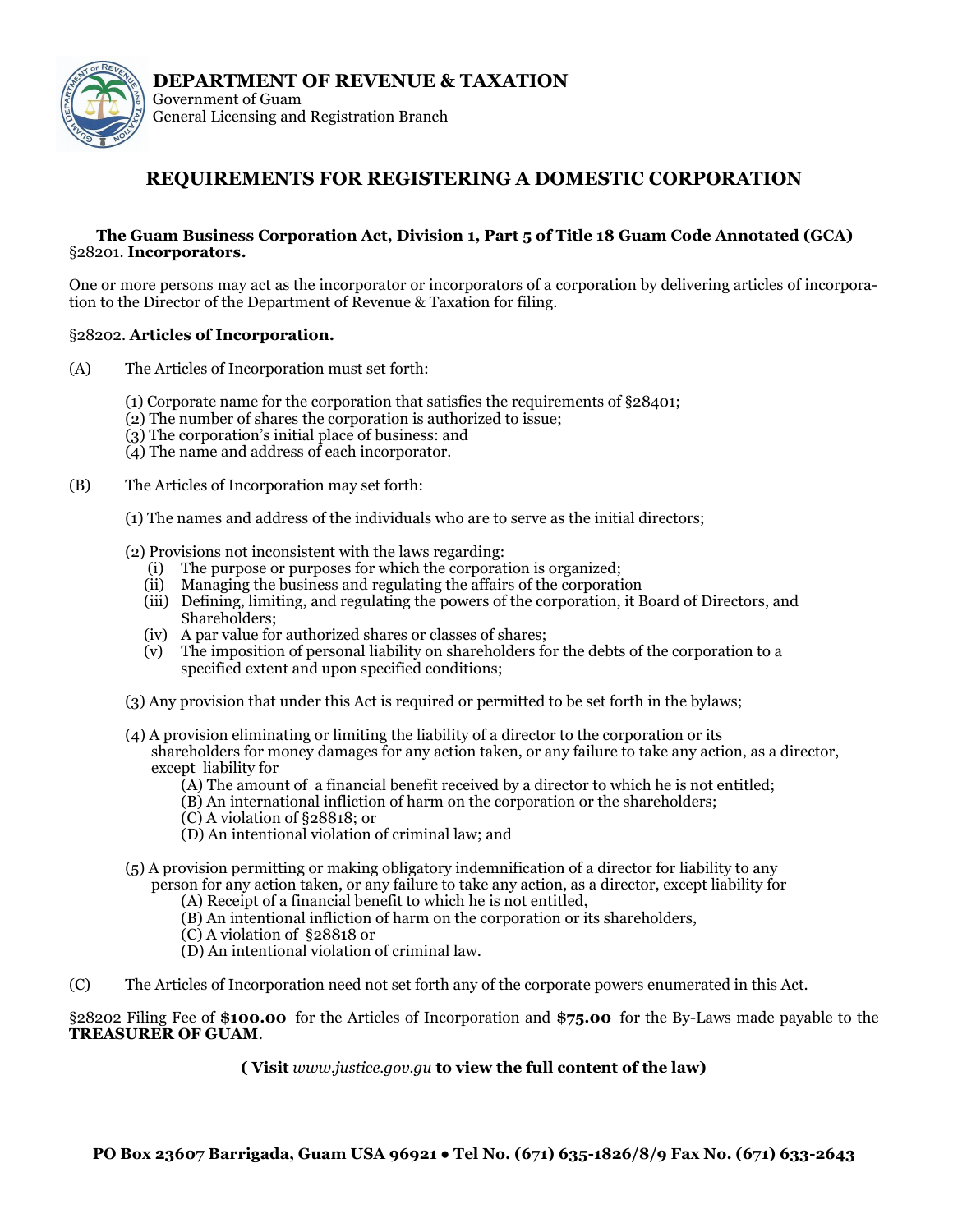

## **REQUIREMENTS FOR REGISTERING A DOMESTIC CORPORATION**

## **The Guam Business Corporation Act, Division 1, Part 5 of Title 18 Guam Code Annotated (GCA)** §28201. **Incorporators.**

One or more persons may act as the incorporator or incorporators of a corporation by delivering articles of incorporation to the Director of the Department of Revenue & Taxation for filing.

## §28202. **Articles of Incorporation.**

- (A) The Articles of Incorporation must set forth:
	- (1) Corporate name for the corporation that satisfies the requirements of §28401;
	- (2) The number of shares the corporation is authorized to issue;
	- (3) The corporation's initial place of business: and
	- (4) The name and address of each incorporator.
- (B) The Articles of Incorporation may set forth:
	- (1) The names and address of the individuals who are to serve as the initial directors;
	- (2) Provisions not inconsistent with the laws regarding:
		- (i) The purpose or purposes for which the corporation is organized;
		- (ii) Managing the business and regulating the affairs of the corporation
		- (iii) Defining, limiting, and regulating the powers of the corporation, it Board of Directors, and Shareholders;
		- (iv) A par value for authorized shares or classes of shares;
		- (v) The imposition of personal liability on shareholders for the debts of the corporation to a specified extent and upon specified conditions;
	- (3) Any provision that under this Act is required or permitted to be set forth in the bylaws;
	- (4) A provision eliminating or limiting the liability of a director to the corporation or its shareholders for money damages for any action taken, or any failure to take any action, as a director, except liability for
		- (A) The amount of a financial benefit received by a director to which he is not entitled;
		- (B) An international infliction of harm on the corporation or the shareholders;
		- (C) A violation of §28818; or
		- (D) An intentional violation of criminal law; and
	- (5) A provision permitting or making obligatory indemnification of a director for liability to any person for any action taken, or any failure to take any action, as a director, except liability for
		- (A) Receipt of a financial benefit to which he is not entitled,
		- (B) An intentional infliction of harm on the corporation or its shareholders,
		- (C) A violation of §28818 or
		- (D) An intentional violation of criminal law.
- (C) The Articles of Incorporation need not set forth any of the corporate powers enumerated in this Act.

§28202 Filing Fee of **\$100.00** for the Articles of Incorporation and **\$75.00** for the By-Laws made payable to the **TREASURER OF GUAM**.

**( Visit** *www.justice.gov.gu* **to view the full content of the law)**